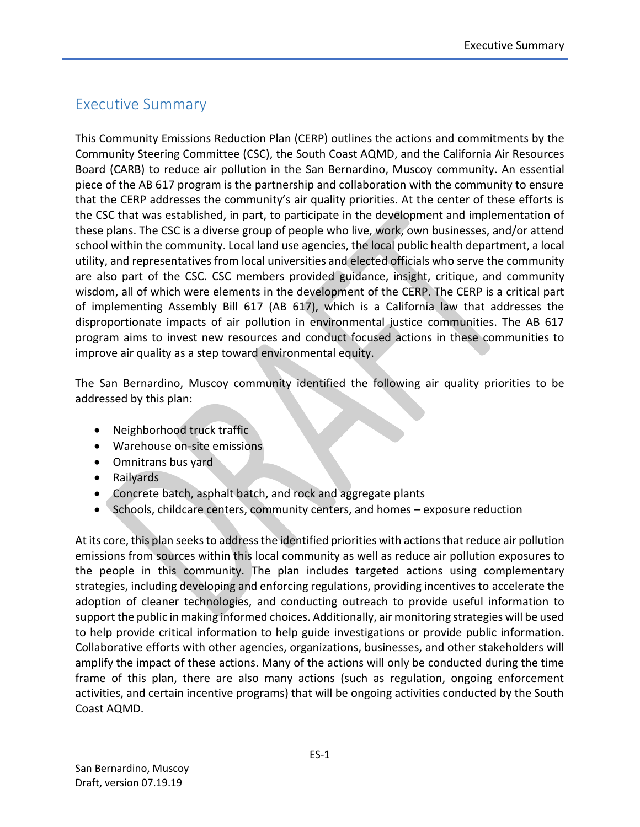## Executive Summary

This Community Emissions Reduction Plan (CERP) outlines the actions and commitments by the Community Steering Committee (CSC), the South Coast AQMD, and the California Air Resources Board (CARB) to reduce air pollution in the San Bernardino, Muscoy community. An essential piece of the AB 617 program is the partnership and collaboration with the community to ensure that the CERP addresses the community's air quality priorities. At the center of these efforts is the CSC that was established, in part, to participate in the development and implementation of these plans. The CSC is a diverse group of people who live, work, own businesses, and/or attend school within the community. Local land use agencies, the local public health department, a local utility, and representatives from local universities and elected officials who serve the community are also part of the CSC. CSC members provided guidance, insight, critique, and community wisdom, all of which were elements in the development of the CERP. The CERP is a critical part of implementing Assembly Bill 617 (AB 617), which is a California law that addresses the disproportionate impacts of air pollution in environmental justice communities. The AB 617 program aims to invest new resources and conduct focused actions in these communities to improve air quality as a step toward environmental equity.

The San Bernardino, Muscoy community identified the following air quality priorities to be addressed by this plan:

- Neighborhood truck traffic
- Warehouse on-site emissions
- Omnitrans bus yard
- Railyards
- Concrete batch, asphalt batch, and rock and aggregate plants
- Schools, childcare centers, community centers, and homes exposure reduction

At its core, this plan seeks to address the identified priorities with actionsthat reduce air pollution emissions from sources within this local community as well as reduce air pollution exposures to the people in this community. The plan includes targeted actions using complementary strategies, including developing and enforcing regulations, providing incentives to accelerate the adoption of cleaner technologies, and conducting outreach to provide useful information to support the public in making informed choices. Additionally, air monitoring strategies will be used to help provide critical information to help guide investigations or provide public information. Collaborative efforts with other agencies, organizations, businesses, and other stakeholders will amplify the impact of these actions. Many of the actions will only be conducted during the time frame of this plan, there are also many actions (such as regulation, ongoing enforcement activities, and certain incentive programs) that will be ongoing activities conducted by the South Coast AQMD.